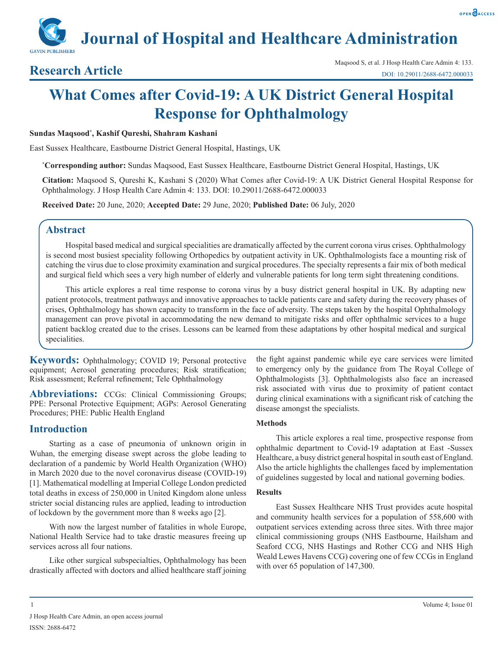**Journal of Hospital and Healthcare Administration**

# **What Comes after Covid-19: A UK District General Hospital Response for Ophthalmology**

#### **Sundas Maqsood\* , Kashif Qureshi, Shahram Kashani**

East Sussex Healthcare, Eastbourne District General Hospital, Hastings, UK

**\* Corresponding author:** Sundas Maqsood, East Sussex Healthcare, Eastbourne District General Hospital, Hastings, UK

**Citation:** Maqsood S, Qureshi K, Kashani S (2020) What Comes after Covid-19: A UK District General Hospital Response for Ophthalmology. J Hosp Health Care Admin 4: 133. DOI: 10.29011/2688-6472.000033

**Received Date:** 20 June, 2020; **Accepted Date:** 29 June, 2020; **Published Date:** 06 July, 2020

# **Abstract**

Hospital based medical and surgical specialities are dramatically affected by the current corona virus crises. Ophthalmology is second most busiest speciality following Orthopedics by outpatient activity in UK. Ophthalmologists face a mounting risk of catching the virus due to close proximity examination and surgical procedures. The specialty represents a fair mix of both medical and surgical field which sees a very high number of elderly and vulnerable patients for long term sight threatening conditions.

This article explores a real time response to corona virus by a busy district general hospital in UK. By adapting new patient protocols, treatment pathways and innovative approaches to tackle patients care and safety during the recovery phases of crises, Ophthalmology has shown capacity to transform in the face of adversity. The steps taken by the hospital Ophthalmology management can prove pivotal in accommodating the new demand to mitigate risks and offer ophthalmic services to a huge patient backlog created due to the crises. Lessons can be learned from these adaptations by other hospital medical and surgical specialities.

**Keywords:** Ophthalmology; COVID 19; Personal protective equipment; Aerosol generating procedures; Risk stratification; Risk assessment; Referral refinement; Tele Ophthalmology

Abbreviations: CCGs: Clinical Commissioning Groups; PPE: Personal Protective Equipment; AGPs: Aerosol Generating Procedures; PHE: Public Health England

# **Introduction**

Starting as a case of pneumonia of unknown origin in Wuhan, the emerging disease swept across the globe leading to declaration of a pandemic by World Health Organization (WHO) in March 2020 due to the novel coronavirus disease (COVID-19) [1]. Mathematical modelling at Imperial College London predicted total deaths in excess of 250,000 in United Kingdom alone unless stricter social distancing rules are applied, leading to introduction of lockdown by the government more than 8 weeks ago [2].

With now the largest number of fatalities in whole Europe, National Health Service had to take drastic measures freeing up services across all four nations.

Like other surgical subspecialties, Ophthalmology has been drastically affected with doctors and allied healthcare staff joining the fight against pandemic while eye care services were limited to emergency only by the guidance from The Royal College of Ophthalmologists [3]. Ophthalmologists also face an increased risk associated with virus due to proximity of patient contact during clinical examinations with a significant risk of catching the disease amongst the specialists.

#### **Methods**

This article explores a real time, prospective response from ophthalmic department to Covid-19 adaptation at East -Sussex Healthcare, a busy district general hospital in south east of England. Also the article highlights the challenges faced by implementation of guidelines suggested by local and national governing bodies.

#### **Results**

East Sussex Healthcare NHS Trust provides acute hospital and community health services for a population of 558,600 with outpatient services extending across three sites. With three major clinical commissioning groups (NHS Eastbourne, Hailsham and Seaford CCG, NHS Hastings and Rother CCG and NHS High Weald Lewes Havens CCG) covering one of few CCGs in England with over 65 population of 147,300.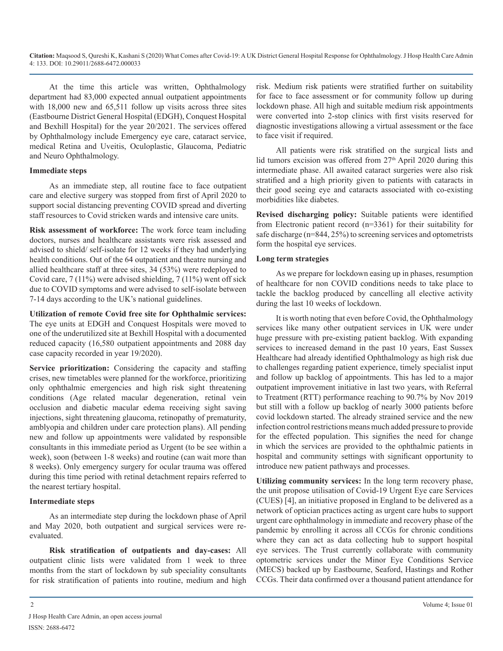At the time this article was written, Ophthalmology department had 83,000 expected annual outpatient appointments with 18,000 new and 65,511 follow up visits across three sites (Eastbourne District General Hospital (EDGH), Conquest Hospital and Bexhill Hospital) for the year 20/2021. The services offered by Ophthalmology include Emergency eye care, cataract service, medical Retina and Uveitis, Oculoplastic, Glaucoma, Pediatric and Neuro Ophthalmology.

#### **Immediate steps**

As an immediate step, all routine face to face outpatient care and elective surgery was stopped from first of April 2020 to support social distancing preventing COVID spread and diverting staff resources to Covid stricken wards and intensive care units.

**Risk assessment of workforce:** The work force team including doctors, nurses and healthcare assistants were risk assessed and advised to shield/ self-isolate for 12 weeks if they had underlying health conditions. Out of the 64 outpatient and theatre nursing and allied healthcare staff at three sites, 34 (53%) were redeployed to Covid care, 7 (11%) were advised shielding, 7 (11%) went off sick due to COVID symptoms and were advised to self-isolate between 7-14 days according to the UK's national guidelines.

**Utilization of remote Covid free site for Ophthalmic services:**  The eye units at EDGH and Conquest Hospitals were moved to one of the underutilized site at Bexhill Hospital with a documented reduced capacity (16,580 outpatient appointments and 2088 day case capacity recorded in year 19/2020).

**Service prioritization:** Considering the capacity and staffing crises, new timetables were planned for the workforce, prioritizing only ophthalmic emergencies and high risk sight threatening conditions (Age related macular degeneration, retinal vein occlusion and diabetic macular edema receiving sight saving injections, sight threatening glaucoma, retinopathy of prematurity, amblyopia and children under care protection plans). All pending new and follow up appointments were validated by responsible consultants in this immediate period as Urgent (to be see within a week), soon (between 1-8 weeks) and routine (can wait more than 8 weeks). Only emergency surgery for ocular trauma was offered during this time period with retinal detachment repairs referred to the nearest tertiary hospital.

## **Intermediate steps**

As an intermediate step during the lockdown phase of April and May 2020, both outpatient and surgical services were reevaluated.

**Risk stratification of outpatients and day-cases:** All outpatient clinic lists were validated from 1 week to three months from the start of lockdown by sub speciality consultants for risk stratification of patients into routine, medium and high risk. Medium risk patients were stratified further on suitability for face to face assessment or for community follow up during lockdown phase. All high and suitable medium risk appointments were converted into 2-stop clinics with first visits reserved for diagnostic investigations allowing a virtual assessment or the face to face visit if required.

All patients were risk stratified on the surgical lists and lid tumors excision was offered from  $27<sup>th</sup>$  April 2020 during this intermediate phase. All awaited cataract surgeries were also risk stratified and a high priority given to patients with cataracts in their good seeing eye and cataracts associated with co-existing morbidities like diabetes.

**Revised discharging policy:** Suitable patients were identified from Electronic patient record (n=3361) for their suitability for safe discharge (n=844, 25%) to screening services and optometrists form the hospital eye services.

# **Long term strategies**

As we prepare for lockdown easing up in phases, resumption of healthcare for non COVID conditions needs to take place to tackle the backlog produced by cancelling all elective activity during the last 10 weeks of lockdown.

It is worth noting that even before Covid, the Ophthalmology services like many other outpatient services in UK were under huge pressure with pre-existing patient backlog. With expanding services to increased demand in the past 10 years, East Sussex Healthcare had already identified Ophthalmology as high risk due to challenges regarding patient experience, timely specialist input and follow up backlog of appointments. This has led to a major outpatient improvement initiative in last two years, with Referral to Treatment (RTT) performance reaching to 90.7% by Nov 2019 but still with a follow up backlog of nearly 3000 patients before covid lockdown started. The already strained service and the new infection control restrictions means much added pressure to provide for the effected population. This signifies the need for change in which the services are provided to the ophthalmic patients in hospital and community settings with significant opportunity to introduce new patient pathways and processes.

**Utilizing community services:** In the long term recovery phase, the unit propose utilisation of Covid-19 Urgent Eye care Services (CUES) [4], an initiative proposed in England to be delivered as a network of optician practices acting as urgent care hubs to support urgent care ophthalmology in immediate and recovery phase of the pandemic by enrolling it across all CCGs for chronic conditions where they can act as data collecting hub to support hospital eye services. The Trust currently collaborate with community optometric services under the Minor Eye Conditions Service (MECS) backed up by Eastbourne, Seaford, Hastings and Rother CCGs. Their data confirmed over a thousand patient attendance for